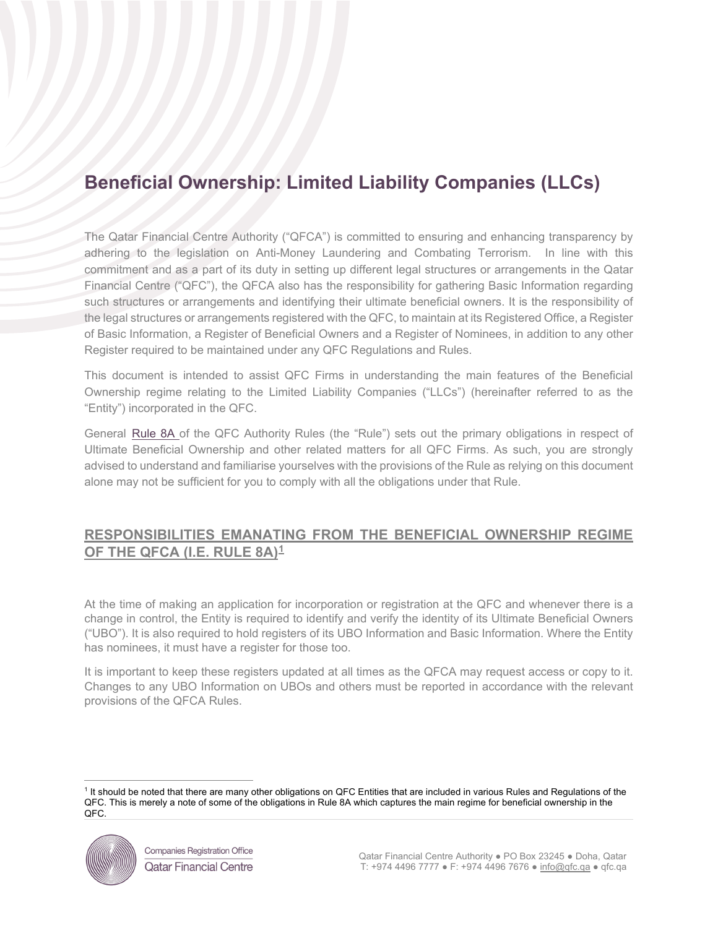# **Beneficial Ownership: Limited Liability Companies (LLCs)**

The Qatar Financial Centre Authority ("QFCA") is committed to ensuring and enhancing transparency by adhering to the legislation on Anti-Money Laundering and Combating Terrorism. In line with this commitment and as a part of its duty in setting up different legal structures or arrangements in the Qatar Financial Centre ("QFC"), the QFCA also has the responsibility for gathering Basic Information regarding such structures or arrangements and identifying their ultimate beneficial owners. It is the responsibility of the legal structures or arrangements registered with the QFC, to maintain at its Registered Office, a Register of Basic Information, a Register of Beneficial Owners and a Register of Nominees, in addition to any other Register required to be maintained under any QFC Regulations and Rules.

This document is intended to assist QFC Firms in understanding the main features of the Beneficial Ownership regime relating to the Limited Liability Companies ("LLCs") (hereinafter referred to as the "Entity") incorporated in the QFC.

General [Rule 8A](https://qfcra-en.thomsonreuters.com/rulebook/qfca-rules-0) of the QFC Authority Rules (the "Rule") sets out the primary obligations in respect of Ultimate Beneficial Ownership and other related matters for all QFC Firms. As such, you are strongly advised to understand and familiarise yourselves with the provisions of the Rule as relying on this document alone may not be sufficient for you to comply with all the obligations under that Rule.

## **RESPONSIBILITIES EMANATING FROM THE BENEFICIAL OWNERSHIP REGIME OF THE QFCA (I.E. RULE 8A)[1](#page-0-0)**

At the time of making an application for incorporation or registration at the QFC and whenever there is a change in control, the Entity is required to identify and verify the identity of its Ultimate Beneficial Owners ("UBO"). It is also required to hold registers of its UBO Information and Basic Information. Where the Entity has nominees, it must have a register for those too.

It is important to keep these registers updated at all times as the QFCA may request access or copy to it. Changes to any UBO Information on UBOs and others must be reported in accordance with the relevant provisions of the QFCA Rules.

<span id="page-0-0"></span><sup>&</sup>lt;sup>1</sup> It should be noted that there are many other obligations on QFC Entities that are included in various Rules and Regulations of the QFC. This is merely a note of some of the obligations in Rule 8A which captures the main regime for beneficial ownership in the QFC.

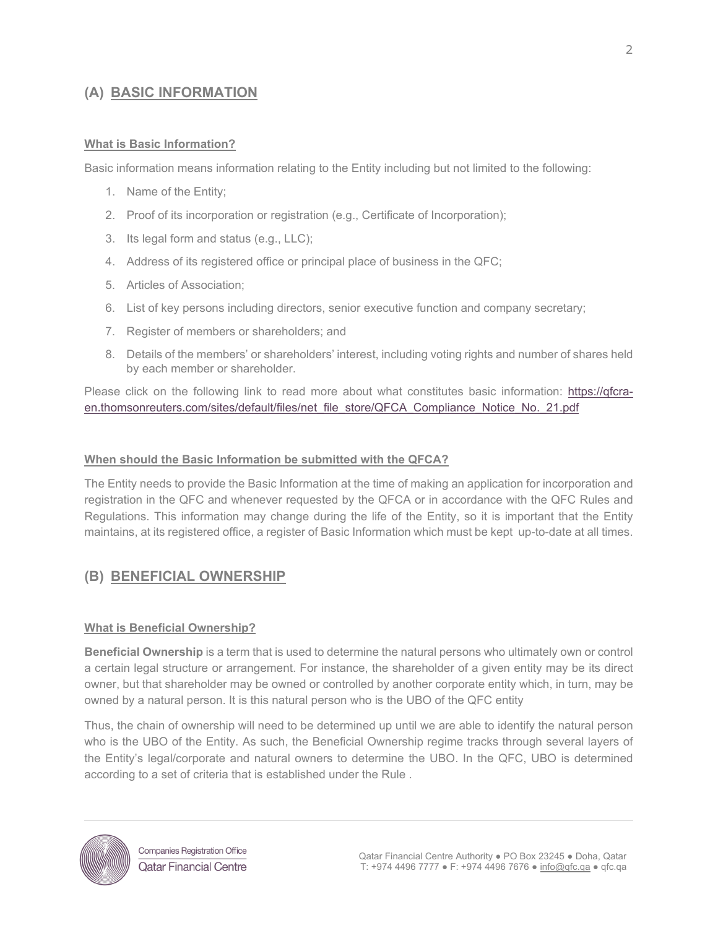# **(A) BASIC INFORMATION**

## **What is Basic Information?**

Basic information means information relating to the Entity including but not limited to the following:

- 1. Name of the Entity;
- 2. Proof of its incorporation or registration (e.g., Certificate of Incorporation);
- 3. Its legal form and status (e.g., LLC);
- 4. Address of its registered office or principal place of business in the QFC;
- 5. Articles of Association;
- 6. List of key persons including directors, senior executive function and company secretary;
- 7. Register of members or shareholders; and
- 8. Details of the members' or shareholders' interest, including voting rights and number of shares held by each member or shareholder.

Please click on the following link to read more about what constitutes basic information: [https://qfcra](https://qfcra-en.thomsonreuters.com/sites/default/files/net_file_store/QFCA_Compliance_Notice_No._21.pdf)en.thomsonreuters.com/sites/default/fi[les/net\\_file\\_store/QFCA\\_Compliance\\_Notice\\_No.\\_21.pdf](https://qfcra-en.thomsonreuters.com/sites/default/files/net_file_store/QFCA_Compliance_Notice_No._21.pdf)

## **When should the Basic Information be submitted with the QFCA?**

The Entity needs to provide the Basic Information at the time of making an application for incorporation and registration in the QFC and whenever requested by the QFCA or in accordance with the QFC Rules and Regulations. This information may change during the life of the Entity, so it is important that the Entity maintains, at its registered office, a register of Basic Information which must be kept up-to-date at all times.

# **(B) BENEFICIAL OWNERSHIP**

#### **What is Beneficial Ownership?**

**Beneficial Ownership** is a term that is used to determine the natural persons who ultimately own or control a certain legal structure or arrangement. For instance, the shareholder of a given entity may be its direct owner, but that shareholder may be owned or controlled by another corporate entity which, in turn, may be owned by a natural person. It is this natural person who is the UBO of the QFC entity

Thus, the chain of ownership will need to be determined up until we are able to identify the natural person who is the UBO of the Entity. As such, the Beneficial Ownership regime tracks through several layers of the Entity's legal/corporate and natural owners to determine the UBO. In the QFC, UBO is determined according to a set of criteria that is established under the [Rule](https://qfcra-en.thomsonreuters.com/rulebook/qfca-rules-0) .

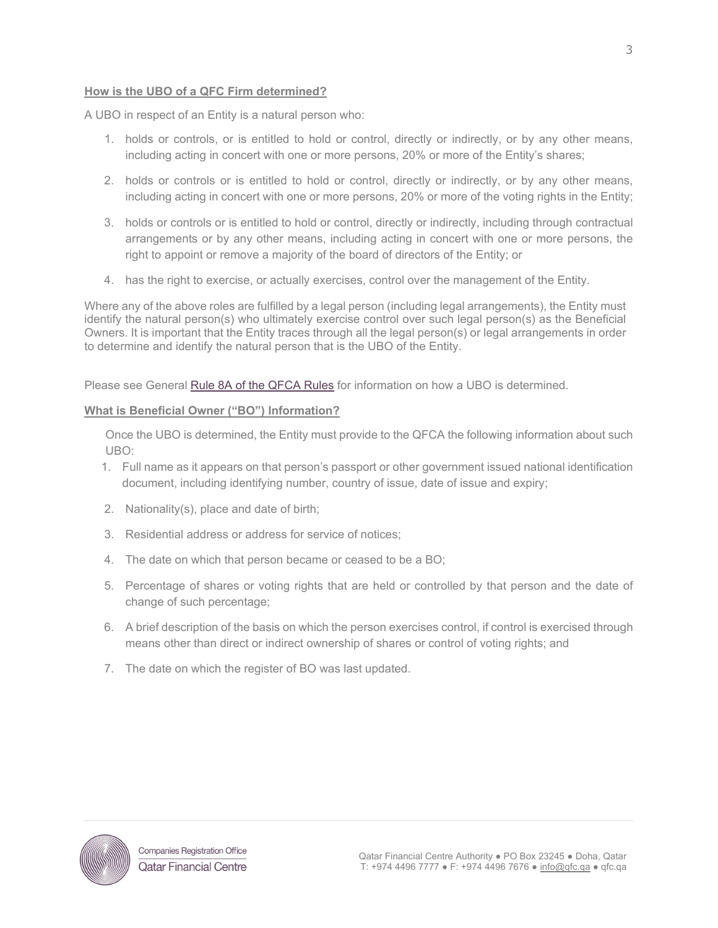## **How is the UBO of a QFC Firm determined?**

A UBO in respect of an Entity is a natural person who:

- 1. holds or controls, or is entitled to hold or control, directly or indirectly, or by any other means, including acting in concert with one or more persons, 20% or more of the Entity's shares;
- 2. holds or controls or is entitled to hold or control, directly or indirectly, or by any other means, including acting in concert with one or more persons, 20% or more of the voting rights in the Entity;
- 3. holds or controls or is entitled to hold or control, directly or indirectly, including through contractual arrangements or by any other means, including acting in concert with one or more persons, the right to appoint or remove a majority of the board of directors of the Entity; or
- 4. has the right to exercise, or actually exercises, control over the management of the Entity.

Where any of the above roles are fulfilled by a legal person (including legal arrangements), the Entity must identify the natural person(s) who ultimately exercise control over such legal person(s) as the Beneficial Owners. It is important that the Entity traces through all the legal person(s) or legal arrangements in order to determine and identify the natural person that is the UBO of the Entity.

Please see General [Rule 8A](https://qfcra-en.thomsonreuters.com/rulebook/qfca-rules-0) of the QFCA Rules for information on how a UBO is determined.

#### **What is Beneficial Owner ("BO") Information?**

Once the UBO is determined, the Entity must provide to the QFCA the following information about such UBO:

- 1. Full name as it appears on that person's passport or other government issued national identification document, including identifying number, country of issue, date of issue and expiry;
- 2. Nationality(s), place and date of birth;
- 3. Residential address or address for service of notices;
- 4. The date on which that person became or ceased to be a BO;
- 5. Percentage of shares or voting rights that are held or controlled by that person and the date of change of such percentage;
- 6. A brief description of the basis on which the person exercises control, if control is exercised through means other than direct or indirect ownership of shares or control of voting rights; and
- 7. The date on which the register of BO was last updated.

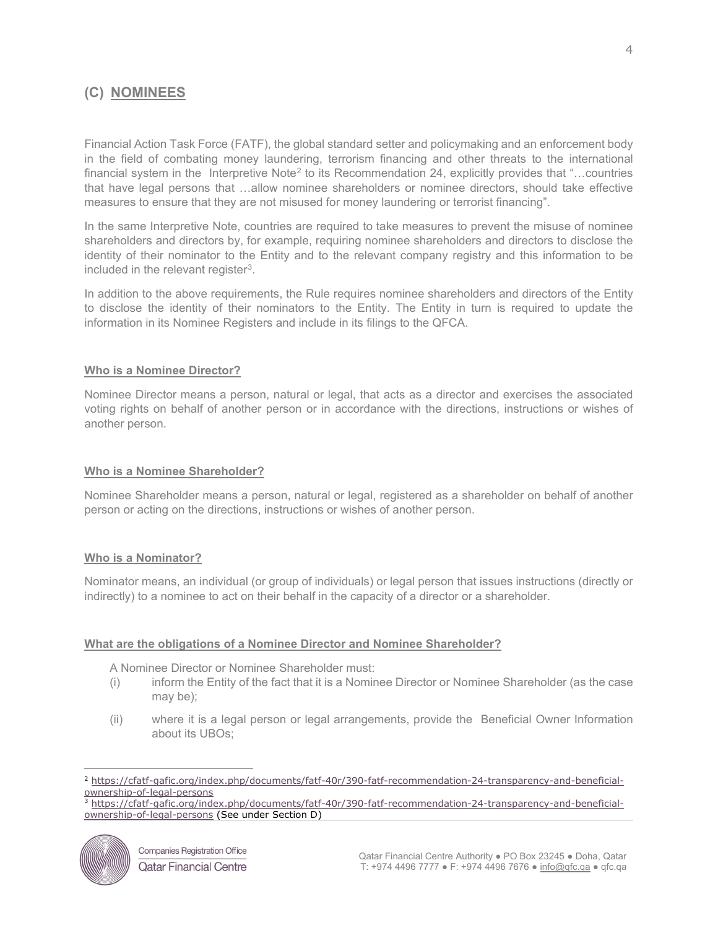# **(C) NOMINEES**

Financial Action Task Force (FATF), the global standard setter and policymaking and an enforcement body in the field of combating money laundering, terrorism financing and other threats to the international financial system in the Interpretive Note<sup>[2](#page-3-0)</sup> to its Recommendation 24, explicitly provides that "...countries" that have legal persons that …allow nominee shareholders or nominee directors, should take effective measures to ensure that they are not misused for money laundering or terrorist financing".

In the same Interpretive Note, countries are required to take measures to prevent the misuse of nominee shareholders and directors by, for example, requiring nominee shareholders and directors to disclose the identity of their nominator to the Entity and to the relevant company registry and this information to be included in the relevant register<sup>[3](#page-3-1)</sup>.

In addition to the above requirements, the Rule requires nominee shareholders and directors of the Entity to disclose the identity of their nominators to the Entity. The Entity in turn is required to update the information in its Nominee Registers and include in its filings to the QFCA.

#### **Who is a Nominee Director?**

Nominee Director means a person, natural or legal, that acts as a director and exercises the associated voting rights on behalf of another person or in accordance with the directions, instructions or wishes of another person.

#### **Who is a Nominee Shareholder?**

Nominee Shareholder means a person, natural or legal, registered as a shareholder on behalf of another person or acting on the directions, instructions or wishes of another person.

#### **Who is a Nominator?**

Nominator means, an individual (or group of individuals) or legal person that issues instructions (directly or indirectly) to a nominee to act on their behalf in the capacity of a director or a shareholder.

#### **What are the obligations of a Nominee Director and Nominee Shareholder?**

A Nominee Director or Nominee Shareholder must:

- (i) inform the Entity of the fact that it is a Nominee Director or Nominee Shareholder (as the case may be);
- (ii) where it is a legal person or legal arrangements, provide the Beneficial Owner Information about its UBOs;

<span id="page-3-1"></span><span id="page-3-0"></span><sup>3</sup> [https://cfatf-gafic.org/index.php/documents/fatf-40r/390-fatf-recommendation-24-transparency-and-beneficial](https://cfatf-gafic.org/index.php/documents/fatf-40r/390-fatf-recommendation-24-transparency-and-beneficial-ownership-of-legal-persons)[ownership-of-legal-persons](https://cfatf-gafic.org/index.php/documents/fatf-40r/390-fatf-recommendation-24-transparency-and-beneficial-ownership-of-legal-persons) (See under Section D)



<sup>2</sup> [https://cfatf-gafic.org/index.php/documents/fatf-40r/390-fatf-recommendation-24-transparency-and-beneficial-](https://cfatf-gafic.org/index.php/documents/fatf-40r/390-fatf-recommendation-24-transparency-and-beneficial-ownership-of-legal-persons)